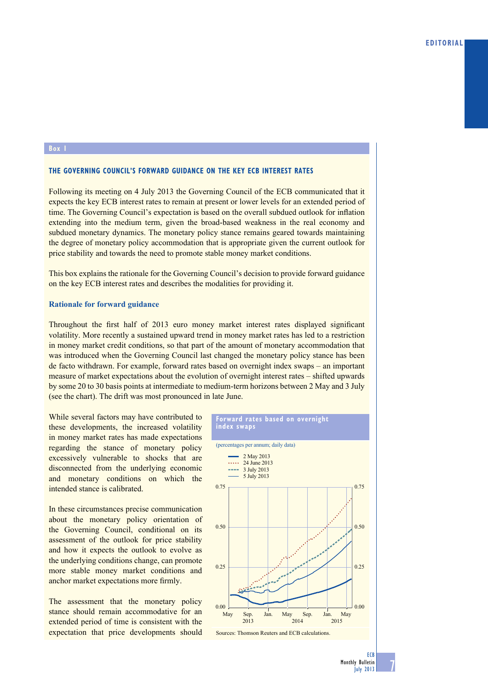## **Box 1**

## **tHE GoVErNiNG CoUNCil'S ForWard GUidaNCE oN tHE KEY ECB iNtErESt ratES**

Following its meeting on 4 July 2013 the Governing Council of the ECB communicated that it expects the key ECB interest rates to remain at present or lower levels for an extended period of time. The Governing Council's expectation is based on the overall subdued outlook for inflation extending into the medium term, given the broad-based weakness in the real economy and subdued monetary dynamics. The monetary policy stance remains geared towards maintaining the degree of monetary policy accommodation that is appropriate given the current outlook for price stability and towards the need to promote stable money market conditions.

This box explains the rationale for the Governing Council's decision to provide forward guidance on the key ECB interest rates and describes the modalities for providing it.

## **Rationale for forward guidance**

Throughout the first half of 2013 euro money market interest rates displayed significant volatility. More recently a sustained upward trend in money market rates has led to a restriction in money market credit conditions, so that part of the amount of monetary accommodation that was introduced when the Governing Council last changed the monetary policy stance has been de facto withdrawn. For example, forward rates based on overnight index swaps – an important measure of market expectations about the evolution of overnight interest rates – shifted upwards by some 20 to 30 basis points at intermediate to medium-term horizons between 2 May and 3 July (see the chart). The drift was most pronounced in late June.

While several factors may have contributed to these developments, the increased volatility in money market rates has made expectations regarding the stance of monetary policy excessively vulnerable to shocks that are disconnected from the underlying economic and monetary conditions on which the intended stance is calibrated.

In these circumstances precise communication about the monetary policy orientation of the Governing Council, conditional on its assessment of the outlook for price stability and how it expects the outlook to evolve as the underlying conditions change, can promote more stable money market conditions and anchor market expectations more firmly.

The assessment that the monetary policy stance should remain accommodative for an extended period of time is consistent with the expectation that price developments should



7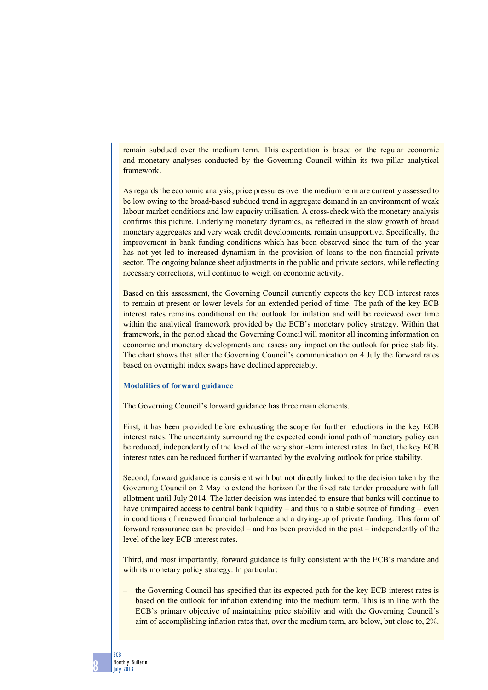remain subdued over the medium term. This expectation is based on the regular economic and monetary analyses conducted by the Governing Council within its two-pillar analytical framework.

As regards the economic analysis, price pressures over the medium term are currently assessed to be low owing to the broad-based subdued trend in aggregate demand in an environment of weak labour market conditions and low capacity utilisation. A cross-check with the monetary analysis confirms this picture. Underlying monetary dynamics, as reflected in the slow growth of broad monetary aggregates and very weak credit developments, remain unsupportive. Specifically, the improvement in bank funding conditions which has been observed since the turn of the year has not yet led to increased dynamism in the provision of loans to the non-financial private sector. The ongoing balance sheet adjustments in the public and private sectors, while reflecting necessary corrections, will continue to weigh on economic activity.

Based on this assessment, the Governing Council currently expects the key ECB interest rates to remain at present or lower levels for an extended period of time. The path of the key ECB interest rates remains conditional on the outlook for inflation and will be reviewed over time within the analytical framework provided by the ECB's monetary policy strategy. Within that framework, in the period ahead the Governing Council will monitor all incoming information on economic and monetary developments and assess any impact on the outlook for price stability. The chart shows that after the Governing Council's communication on 4 July the forward rates based on overnight index swaps have declined appreciably.

## **Modalities of forward guidance**

The Governing Council's forward guidance has three main elements.

First, it has been provided before exhausting the scope for further reductions in the key ECB interest rates. The uncertainty surrounding the expected conditional path of monetary policy can be reduced, independently of the level of the very short-term interest rates. In fact, the key ECB interest rates can be reduced further if warranted by the evolving outlook for price stability.

Second, forward guidance is consistent with but not directly linked to the decision taken by the Governing Council on 2 May to extend the horizon for the fixed rate tender procedure with full allotment until July 2014. The latter decision was intended to ensure that banks will continue to have unimpaired access to central bank liquidity – and thus to a stable source of funding – even in conditions of renewed financial turbulence and a drying-up of private funding. This form of forward reassurance can be provided – and has been provided in the past – independently of the level of the key ECB interest rates.

Third, and most importantly, forward guidance is fully consistent with the ECB's mandate and with its monetary policy strategy. In particular:

– the Governing Council has specified that its expected path for the key ECB interest rates is based on the outlook for inflation extending into the medium term. This is in line with the ECB's primary objective of maintaining price stability and with the Governing Council's aim of accomplishing inflation rates that, over the medium term, are below, but close to, 2%.

8